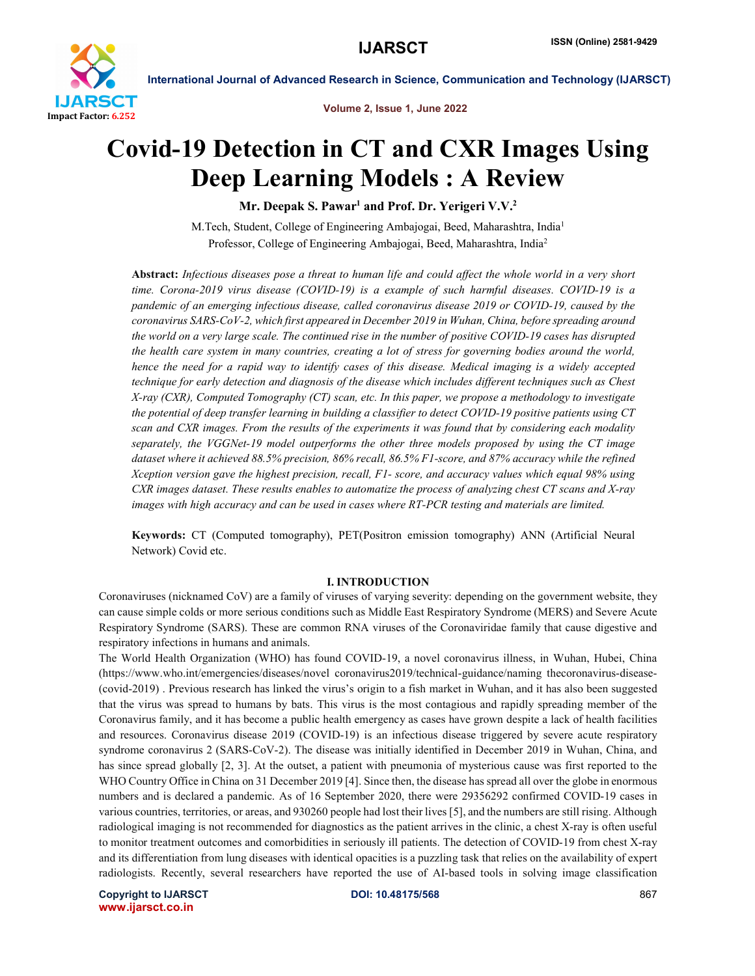

Volume 2, Issue 1, June 2022

# Covid-19 Detection in CT and CXR Images Using Deep Learning Models : A Review

Mr. Deepak S. Pawar<sup>1</sup> and Prof. Dr. Yerigeri V.V.<sup>2</sup>

M.Tech, Student, College of Engineering Ambajogai, Beed, Maharashtra, India<sup>1</sup> Professor, College of Engineering Ambajogai, Beed, Maharashtra, India2

Abstract: *Infectious diseases pose a threat to human life and could affect the whole world in a very short time. Corona-2019 virus disease (COVID-19) is a example of such harmful diseases. COVID-19 is a pandemic of an emerging infectious disease, called coronavirus disease 2019 or COVID-19, caused by the coronavirus SARS-CoV-2, which first appeared in December 2019 in Wuhan, China, before spreading around the world on a very large scale. The continued rise in the number of positive COVID-19 cases has disrupted the health care system in many countries, creating a lot of stress for governing bodies around the world, hence the need for a rapid way to identify cases of this disease. Medical imaging is a widely accepted technique for early detection and diagnosis of the disease which includes different techniques such as Chest X-ray (CXR), Computed Tomography (CT) scan, etc. In this paper, we propose a methodology to investigate the potential of deep transfer learning in building a classifier to detect COVID-19 positive patients using CT scan and CXR images. From the results of the experiments it was found that by considering each modality separately, the VGGNet-19 model outperforms the other three models proposed by using the CT image dataset where it achieved 88.5% precision, 86% recall, 86.5% F1-score, and 87% accuracy while the refined Xception version gave the highest precision, recall, F1- score, and accuracy values which equal 98% using CXR images dataset. These results enables to automatize the process of analyzing chest CT scans and X-ray images with high accuracy and can be used in cases where RT-PCR testing and materials are limited.*

Keywords: CT (Computed tomography), PET(Positron emission tomography) ANN (Artificial Neural Network) Covid etc.

#### I. INTRODUCTION

Coronaviruses (nicknamed CoV) are a family of viruses of varying severity: depending on the government website, they can cause simple colds or more serious conditions such as Middle East Respiratory Syndrome (MERS) and Severe Acute Respiratory Syndrome (SARS). These are common RNA viruses of the Coronaviridae family that cause digestive and respiratory infections in humans and animals.

The World Health Organization (WHO) has found COVID-19, a novel coronavirus illness, in Wuhan, Hubei, China (https://www.who.int/emergencies/diseases/novel coronavirus2019/technical-guidance/naming thecoronavirus-disease- (covid-2019) . Previous research has linked the virus's origin to a fish market in Wuhan, and it has also been suggested that the virus was spread to humans by bats. This virus is the most contagious and rapidly spreading member of the Coronavirus family, and it has become a public health emergency as cases have grown despite a lack of health facilities and resources. Coronavirus disease 2019 (COVID-19) is an infectious disease triggered by severe acute respiratory syndrome coronavirus 2 (SARS-CoV-2). The disease was initially identified in December 2019 in Wuhan, China, and has since spread globally [2, 3]. At the outset, a patient with pneumonia of mysterious cause was first reported to the WHO Country Office in China on 31 December 2019 [4]. Since then, the disease has spread all over the globe in enormous numbers and is declared a pandemic. As of 16 September 2020, there were 29356292 confirmed COVID-19 cases in various countries, territories, or areas, and 930260 people had lost their lives [5], and the numbers are still rising. Although radiological imaging is not recommended for diagnostics as the patient arrives in the clinic, a chest X-ray is often useful to monitor treatment outcomes and comorbidities in seriously ill patients. The detection of COVID-19 from chest X-ray and its differentiation from lung diseases with identical opacities is a puzzling task that relies on the availability of expert radiologists. Recently, several researchers have reported the use of AI-based tools in solving image classification

Copyright to IJARSCT **DOI: 10.48175/568** 867 www.ijarsct.co.in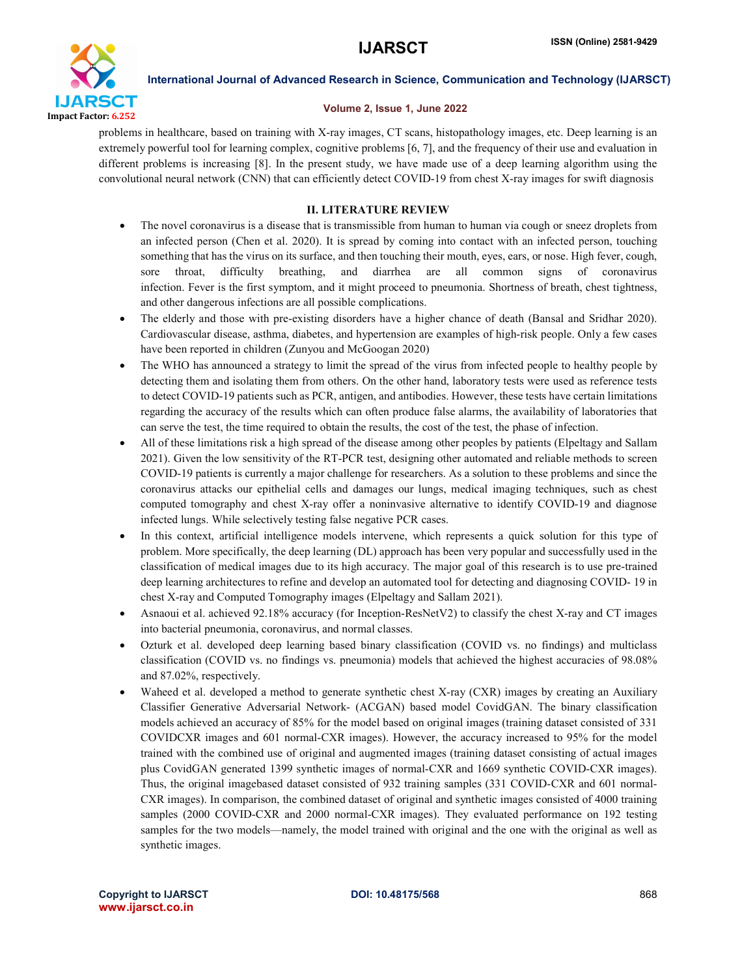

#### Volume 2, Issue 1, June 2022

problems in healthcare, based on training with X-ray images, CT scans, histopathology images, etc. Deep learning is an extremely powerful tool for learning complex, cognitive problems [6, 7], and the frequency of their use and evaluation in different problems is increasing [8]. In the present study, we have made use of a deep learning algorithm using the convolutional neural network (CNN) that can efficiently detect COVID-19 from chest X-ray images for swift diagnosis

# II. LITERATURE REVIEW

- The novel coronavirus is a disease that is transmissible from human to human via cough or sneez droplets from an infected person (Chen et al. 2020). It is spread by coming into contact with an infected person, touching something that has the virus on its surface, and then touching their mouth, eyes, ears, or nose. High fever, cough, sore throat, difficulty breathing, and diarrhea are all common signs of coronavirus infection. Fever is the first symptom, and it might proceed to pneumonia. Shortness of breath, chest tightness, and other dangerous infections are all possible complications.
- The elderly and those with pre-existing disorders have a higher chance of death (Bansal and Sridhar 2020). Cardiovascular disease, asthma, diabetes, and hypertension are examples of high-risk people. Only a few cases have been reported in children (Zunyou and McGoogan 2020)
- The WHO has announced a strategy to limit the spread of the virus from infected people to healthy people by detecting them and isolating them from others. On the other hand, laboratory tests were used as reference tests to detect COVID-19 patients such as PCR, antigen, and antibodies. However, these tests have certain limitations regarding the accuracy of the results which can often produce false alarms, the availability of laboratories that can serve the test, the time required to obtain the results, the cost of the test, the phase of infection.
- All of these limitations risk a high spread of the disease among other peoples by patients (Elpeltagy and Sallam 2021). Given the low sensitivity of the RT-PCR test, designing other automated and reliable methods to screen COVID-19 patients is currently a major challenge for researchers. As a solution to these problems and since the coronavirus attacks our epithelial cells and damages our lungs, medical imaging techniques, such as chest computed tomography and chest X-ray offer a noninvasive alternative to identify COVID-19 and diagnose infected lungs. While selectively testing false negative PCR cases.
- In this context, artificial intelligence models intervene, which represents a quick solution for this type of problem. More specifically, the deep learning (DL) approach has been very popular and successfully used in the classification of medical images due to its high accuracy. The major goal of this research is to use pre-trained deep learning architectures to refine and develop an automated tool for detecting and diagnosing COVID- 19 in chest X-ray and Computed Tomography images (Elpeltagy and Sallam 2021).
- Asnaoui et al. achieved 92.18% accuracy (for Inception-ResNetV2) to classify the chest X-ray and CT images into bacterial pneumonia, coronavirus, and normal classes.
- Ozturk et al. developed deep learning based binary classification (COVID vs. no findings) and multiclass classification (COVID vs. no findings vs. pneumonia) models that achieved the highest accuracies of 98.08% and 87.02%, respectively.
- Waheed et al. developed a method to generate synthetic chest X-ray (CXR) images by creating an Auxiliary Classifier Generative Adversarial Network- (ACGAN) based model CovidGAN. The binary classification models achieved an accuracy of 85% for the model based on original images (training dataset consisted of 331 COVIDCXR images and 601 normal-CXR images). However, the accuracy increased to 95% for the model trained with the combined use of original and augmented images (training dataset consisting of actual images plus CovidGAN generated 1399 synthetic images of normal-CXR and 1669 synthetic COVID-CXR images). Thus, the original imagebased dataset consisted of 932 training samples (331 COVID-CXR and 601 normal-CXR images). In comparison, the combined dataset of original and synthetic images consisted of 4000 training samples (2000 COVID-CXR and 2000 normal-CXR images). They evaluated performance on 192 testing samples for the two models—namely, the model trained with original and the one with the original as well as synthetic images.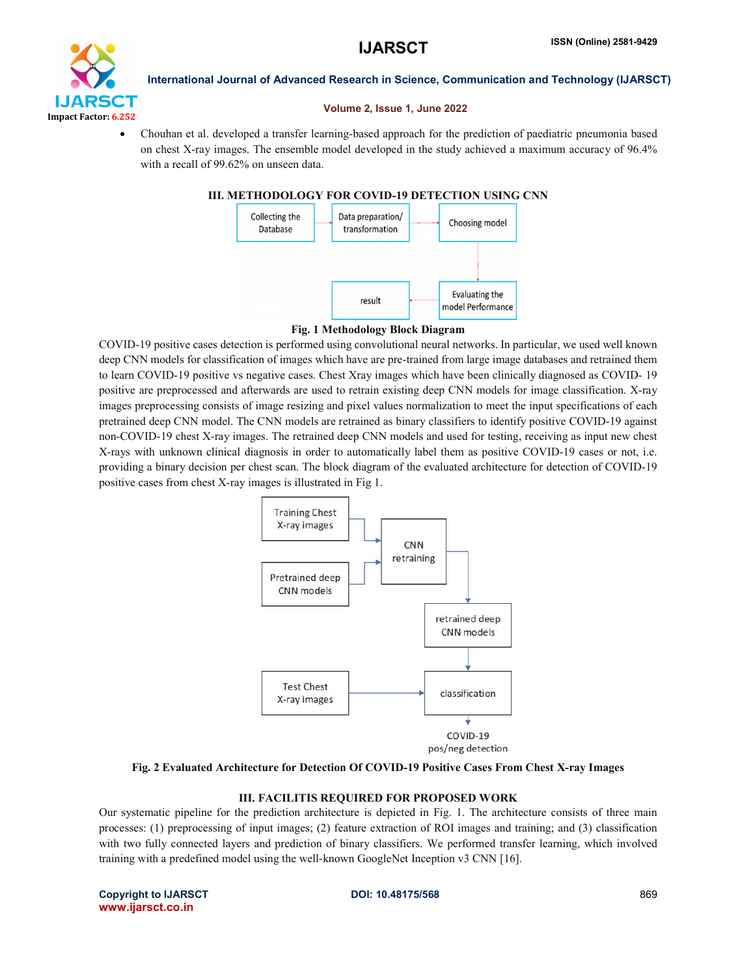

#### Volume 2, Issue 1, June 2022

 Chouhan et al. developed a transfer learning-based approach for the prediction of paediatric pneumonia based on chest X-ray images. The ensemble model developed in the study achieved a maximum accuracy of 96.4% with a recall of 99.62% on unseen data.

# III. METHODOLOGY FOR COVID-19 DETECTION USING CNN



# Fig. 1 Methodology Block Diagram

COVID-19 positive cases detection is performed using convolutional neural networks. In particular, we used well known deep CNN models for classification of images which have are pre-trained from large image databases and retrained them to learn COVID-19 positive vs negative cases. Chest Xray images which have been clinically diagnosed as COVID- 19 positive are preprocessed and afterwards are used to retrain existing deep CNN models for image classification. X-ray images preprocessing consists of image resizing and pixel values normalization to meet the input specifications of each pretrained deep CNN model. The CNN models are retrained as binary classifiers to identify positive COVID-19 against non-COVID-19 chest X-ray images. The retrained deep CNN models and used for testing, receiving as input new chest X-rays with unknown clinical diagnosis in order to automatically label them as positive COVID-19 cases or not, i.e. providing a binary decision per chest scan. The block diagram of the evaluated architecture for detection of COVID-19 positive cases from chest X-ray images is illustrated in Fig 1.



Fig. 2 Evaluated Architecture for Detection Of COVID-19 Positive Cases From Chest X-ray Images

# III. FACILITIS REQUIRED FOR PROPOSED WORK

Our systematic pipeline for the prediction architecture is depicted in Fig. 1. The architecture consists of three main processes: (1) preprocessing of input images; (2) feature extraction of ROI images and training; and (3) classification with two fully connected layers and prediction of binary classifiers. We performed transfer learning, which involved training with a predefined model using the well-known GoogleNet Inception v3 CNN [16].

Copyright to IJARSCT **DOI: 10.48175/568** 869 www.ijarsct.co.in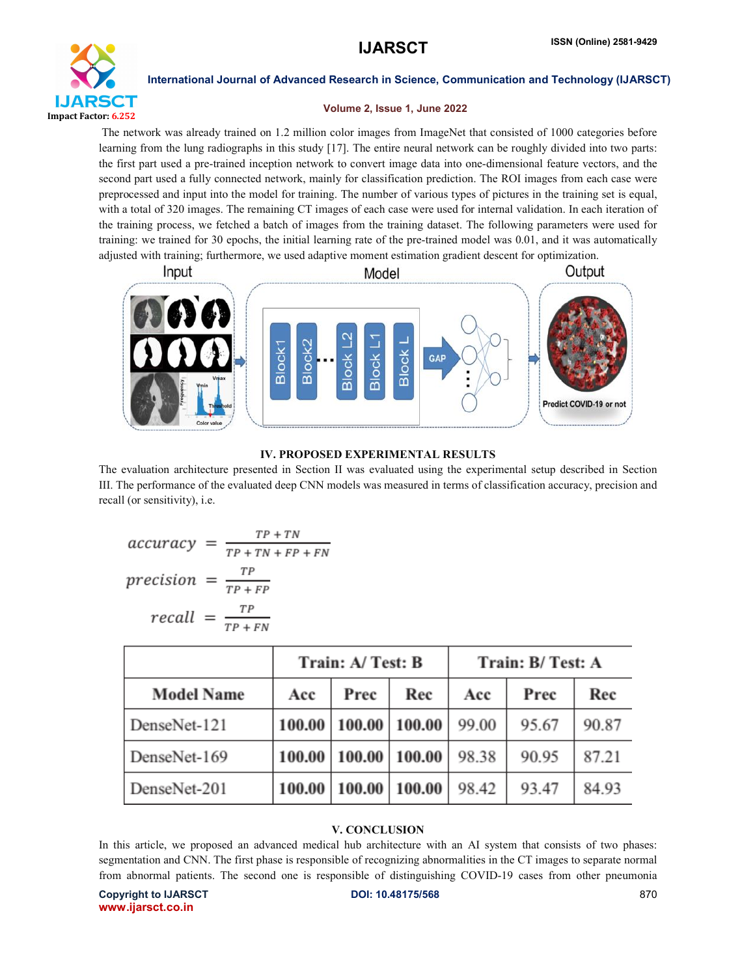

#### Volume 2, Issue 1, June 2022

The network was already trained on 1.2 million color images from ImageNet that consisted of 1000 categories before learning from the lung radiographs in this study [17]. The entire neural network can be roughly divided into two parts: the first part used a pre-trained inception network to convert image data into one-dimensional feature vectors, and the second part used a fully connected network, mainly for classification prediction. The ROI images from each case were preprocessed and input into the model for training. The number of various types of pictures in the training set is equal, with a total of 320 images. The remaining CT images of each case were used for internal validation. In each iteration of the training process, we fetched a batch of images from the training dataset. The following parameters were used for training: we trained for 30 epochs, the initial learning rate of the pre-trained model was 0.01, and it was automatically adjusted with training; furthermore, we used adaptive moment estimation gradient descent for optimization.



# IV. PROPOSED EXPERIMENTAL RESULTS

The evaluation architecture presented in Section II was evaluated using the experimental setup described in Section III. The performance of the evaluated deep CNN models was measured in terms of classification accuracy, precision and recall (or sensitivity), i.e.

$$
accuracy = \frac{TP + TN}{TP + TN + FP + FN}
$$

$$
precision = \frac{TP}{TP + FP}
$$

$$
recall = \frac{TP}{TP + FN}
$$

|                   | Train: A/Test: B |        |        | Train: B/Test: A |       |       |
|-------------------|------------------|--------|--------|------------------|-------|-------|
| <b>Model Name</b> | Acc              | Prec   | Rec    | Acc              | Prec  | Rec   |
| DenseNet-121      | 100.00           | 100.00 | 100.00 | 99.00            | 95.67 | 90.87 |
| DenseNet-169      | 100.00           | 100.00 | 100.00 | 98.38            | 90.95 | 87.21 |
| DenseNet-201      | 100.00           | 100.00 | 100.00 | 98.42            | 93.47 | 84.93 |

# V. CONCLUSION

In this article, we proposed an advanced medical hub architecture with an AI system that consists of two phases: segmentation and CNN. The first phase is responsible of recognizing abnormalities in the CT images to separate normal from abnormal patients. The second one is responsible of distinguishing COVID-19 cases from other pneumonia

Copyright to IJARSCT **DOI: 10.48175/568** 870 www.ijarsct.co.in